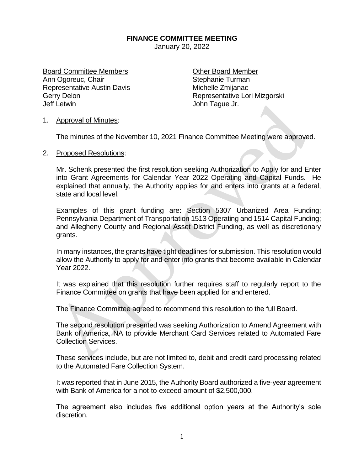## **FINANCE COMMITTEE MEETING**

January 20, 2022

Board Committee Members **Committee Members** Committee Member Ann Ogoreuc, Chair Stephanie Turman Representative Austin Davis Michelle Zmijanac Jeff Letwin John Tague Jr.

Gerry Delon **Representative Lori Mizgorski** 

## 1. Approval of Minutes:

The minutes of the November 10, 2021 Finance Committee Meeting were approved.

## 2. Proposed Resolutions:

Mr. Schenk presented the first resolution seeking Authorization to Apply for and Enter into Grant Agreements for Calendar Year 2022 Operating and Capital Funds. He explained that annually, the Authority applies for and enters into grants at a federal, state and local level.

Examples of this grant funding are: Section 5307 Urbanized Area Funding; Pennsylvania Department of Transportation 1513 Operating and 1514 Capital Funding; and Allegheny County and Regional Asset District Funding, as well as discretionary grants.

In many instances, the grants have tight deadlines for submission. This resolution would allow the Authority to apply for and enter into grants that become available in Calendar Year 2022.

It was explained that this resolution further requires staff to regularly report to the Finance Committee on grants that have been applied for and entered.

The Finance Committee agreed to recommend this resolution to the full Board.

The second resolution presented was seeking Authorization to Amend Agreement with Bank of America, NA to provide Merchant Card Services related to Automated Fare Collection Services.

These services include, but are not limited to, debit and credit card processing related to the Automated Fare Collection System.

It was reported that in June 2015, the Authority Board authorized a five-year agreement with Bank of America for a not-to-exceed amount of \$2,500,000.

The agreement also includes five additional option years at the Authority's sole discretion.